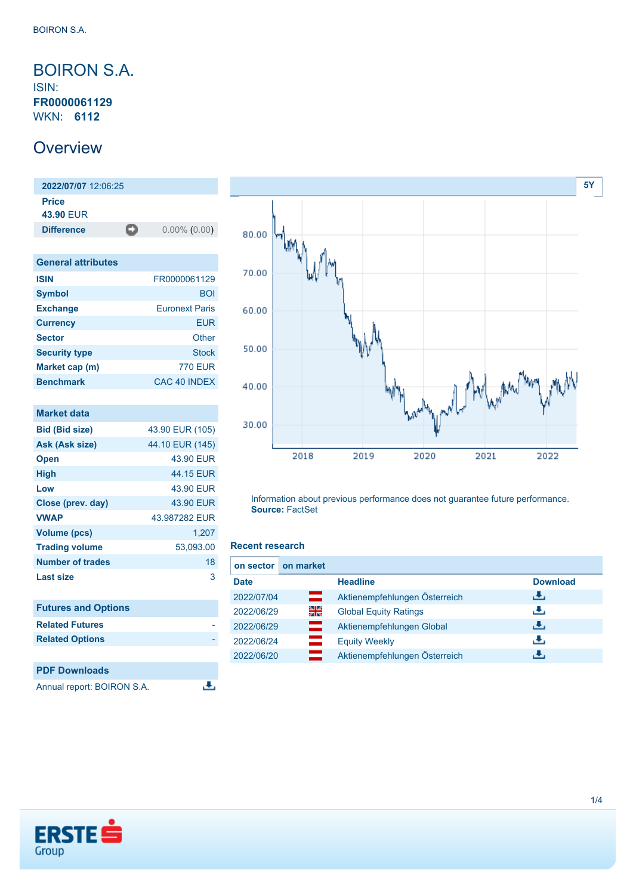### <span id="page-0-0"></span>BOIRON S.A. ISIN: **FR0000061129** WKN: **6112**

## **Overview**

**2022/07/07** 12:06:25 **Price 43.90** EUR **Difference** 0.00% (0.00)

| <b>General attributes</b> |                       |
|---------------------------|-----------------------|
| <b>ISIN</b>               | FR0000061129          |
| <b>Symbol</b>             | <b>BOI</b>            |
| <b>Exchange</b>           | <b>Furonext Paris</b> |
| <b>Currency</b>           | <b>EUR</b>            |
| <b>Sector</b>             | Other                 |
| <b>Security type</b>      | Stock                 |
| Market cap (m)            | 770 FUR               |
| <b>Benchmark</b>          | CAC 40 INDEX          |

| <b>Market data</b>         |                 |
|----------------------------|-----------------|
| <b>Bid (Bid size)</b>      | 43.90 EUR (105) |
| Ask (Ask size)             | 44.10 EUR (145) |
| <b>Open</b>                | 43.90 EUR       |
| <b>High</b>                | 44.15 EUR       |
| Low                        | 43.90 EUR       |
| Close (prev. day)          | 43.90 EUR       |
| <b>VWAP</b>                | 43.987282 EUR   |
| <b>Volume (pcs)</b>        | 1,207           |
| <b>Trading volume</b>      | 53,093.00       |
| <b>Number of trades</b>    | 18              |
| Last size                  | 3               |
|                            |                 |
| <b>Futures and Options</b> |                 |
| <b>Related Futures</b>     |                 |
| <b>Related Options</b>     |                 |
|                            |                 |
| <b>PDF Downloads</b>       |                 |
| Annual report: BOIRON S.A. |                 |



Information about previous performance does not guarantee future performance. **Source:** FactSet

#### **Recent research**

| on sector I | on market |                               |                 |
|-------------|-----------|-------------------------------|-----------------|
| <b>Date</b> |           | <b>Headline</b>               | <b>Download</b> |
| 2022/07/04  | ▭         | Aktienempfehlungen Österreich | æ,              |
| 2022/06/29  | 읡         | <b>Global Equity Ratings</b>  | رنان            |
| 2022/06/29  | ═         | Aktienempfehlungen Global     | 击               |
| 2022/06/24  |           | <b>Equity Weekly</b>          | رنان            |
| 2022/06/20  |           | Aktienempfehlungen Österreich | æ,              |

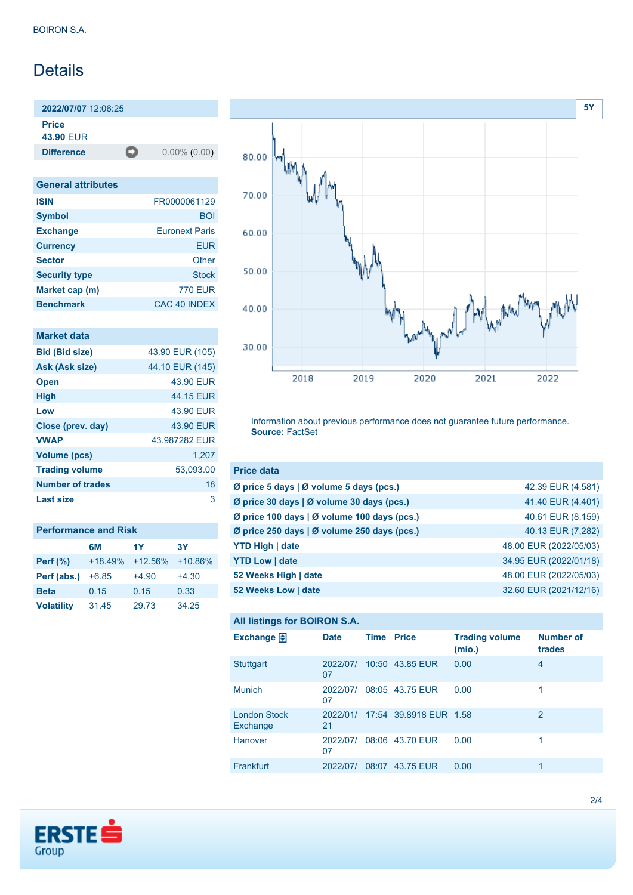# Details

**2022/07/07** 12:06:25 **Price**

**43.90** EUR

**Difference** 0.00% (0.00)

| <b>General attributes</b> |                       |
|---------------------------|-----------------------|
| <b>ISIN</b>               | FR0000061129          |
| <b>Symbol</b>             | <b>BOI</b>            |
| <b>Exchange</b>           | <b>Euronext Paris</b> |
| <b>Currency</b>           | <b>EUR</b>            |
| <b>Sector</b>             | Other                 |
| <b>Security type</b>      | <b>Stock</b>          |
| Market cap (m)            | <b>770 EUR</b>        |
| <b>Benchmark</b>          | CAC 40 INDEX          |

| <b>Market data</b> |  |  |
|--------------------|--|--|
|                    |  |  |
|                    |  |  |

| <b>Bid (Bid size)</b> | 43.90 EUR (105) |
|-----------------------|-----------------|
| Ask (Ask size)        | 44.10 EUR (145) |
| <b>Open</b>           | 43.90 EUR       |
| <b>High</b>           | 44.15 FUR       |
| Low                   | 43.90 EUR       |
| Close (prev. day)     | 43.90 EUR       |
| <b>VWAP</b>           | 43.987282 FUR   |
| Volume (pcs)          | 1,207           |
| <b>Trading volume</b> | 53.093.00       |
| Number of trades      | 18              |
| Last size             | 3               |

| <b>Performance and Risk</b> |           |           |           |  |
|-----------------------------|-----------|-----------|-----------|--|
|                             | 6M        | 1Y        | <b>3Y</b> |  |
| <b>Perf</b> (%)             | $+18.49%$ | $+12.56%$ | $+10.86%$ |  |
| Perf (abs.)                 | $+6.85$   | $+4.90$   | $+4.30$   |  |
| <b>Beta</b>                 | 0.15      | 0.15      | 0.33      |  |
| <b>Volatility</b>           | 31.45     | 29.73     | 34.25     |  |



Information about previous performance does not guarantee future performance. **Source:** FactSet

| <b>Price data</b>                             |                        |
|-----------------------------------------------|------------------------|
| Ø price 5 days $\vert$ Ø volume 5 days (pcs.) | 42.39 EUR (4,581)      |
| Ø price 30 days   Ø volume 30 days (pcs.)     | 41.40 EUR (4,401)      |
| Ø price 100 days   Ø volume 100 days (pcs.)   | 40.61 EUR (8,159)      |
| Ø price 250 days   Ø volume 250 days (pcs.)   | 40.13 EUR (7,282)      |
| <b>YTD High   date</b>                        | 48.00 EUR (2022/05/03) |
| <b>YTD Low   date</b>                         | 34.95 EUR (2022/01/18) |
| 52 Weeks High   date                          | 48.00 EUR (2022/05/03) |
| 52 Weeks Low   date                           | 32.60 EUR (2021/12/16) |

#### **All listings for BOIRON S.A.**

| Exchange $\Box$                 | <b>Date</b>    | <b>Time Price</b> |                                 | <b>Trading volume</b><br>(mio.) | <b>Number of</b><br>trades |
|---------------------------------|----------------|-------------------|---------------------------------|---------------------------------|----------------------------|
| <b>Stuttgart</b>                | 2022/07/<br>07 |                   | 10:50 43.85 EUR                 | 0.00                            | $\overline{4}$             |
| <b>Munich</b>                   | 2022/07/<br>07 |                   | 08:05 43.75 EUR                 | 0.00                            | 1                          |
| <b>London Stock</b><br>Exchange | 21             |                   | 2022/01/ 17:54 39.8918 EUR 1.58 |                                 | 2                          |
| <b>Hanover</b>                  | 2022/07/<br>07 |                   | 08:06 43.70 EUR                 | 0.00                            |                            |
| Frankfurt                       | 2022/07/       | 08:07             | 43.75 EUR                       | 0.00                            | 1                          |

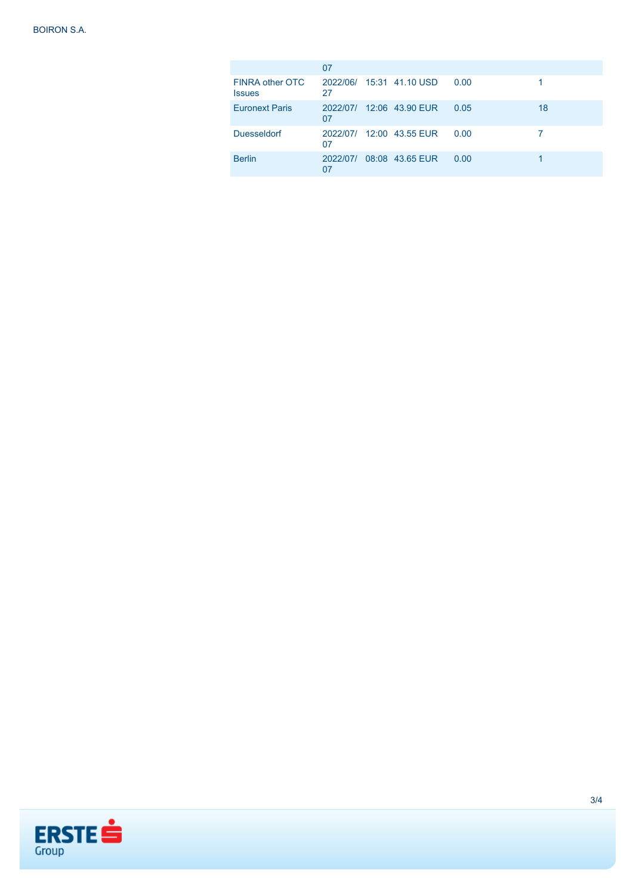|                                  | 07 |                          |      |    |
|----------------------------------|----|--------------------------|------|----|
| FINRA other OTC<br><b>Issues</b> | 27 | 2022/06/ 15:31 41.10 USD | 0.00 |    |
| <b>Euronext Paris</b>            | 07 | 2022/07/ 12:06 43.90 EUR | 0.05 | 18 |
| <b>Duesseldorf</b>               | 07 | 2022/07/ 12:00 43.55 EUR | 0.00 |    |
| <b>Berlin</b>                    | 07 | 2022/07/ 08:08 43.65 EUR | 0.00 |    |